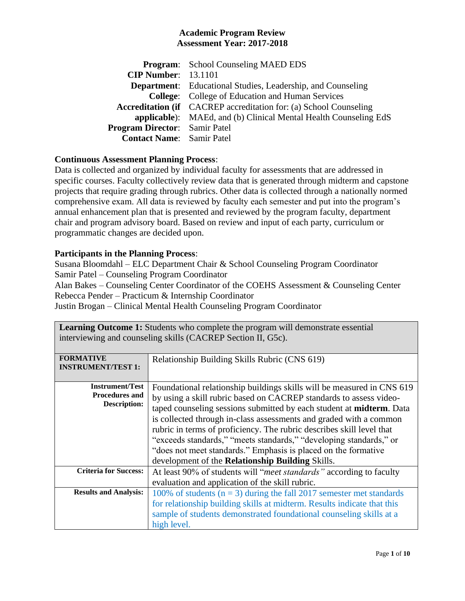|                                      | <b>Program:</b> School Counseling MAED EDS                               |
|--------------------------------------|--------------------------------------------------------------------------|
| <b>CIP Number:</b> 13.1101           |                                                                          |
|                                      | <b>Department:</b> Educational Studies, Leadership, and Counseling       |
|                                      | <b>College:</b> College of Education and Human Services                  |
|                                      | <b>Accreditation (if</b> CACREP accreditation for: (a) School Counseling |
|                                      | applicable): MAEd, and (b) Clinical Mental Health Counseling EdS         |
| <b>Program Director:</b> Samir Patel |                                                                          |
| <b>Contact Name:</b> Samir Patel     |                                                                          |

## **Continuous Assessment Planning Process**:

Data is collected and organized by individual faculty for assessments that are addressed in specific courses. Faculty collectively review data that is generated through midterm and capstone projects that require grading through rubrics. Other data is collected through a nationally normed comprehensive exam. All data is reviewed by faculty each semester and put into the program's annual enhancement plan that is presented and reviewed by the program faculty, department chair and program advisory board. Based on review and input of each party, curriculum or programmatic changes are decided upon.

## **Participants in the Planning Process**:

Susana Bloomdahl – ELC Department Chair & School Counseling Program Coordinator Samir Patel – Counseling Program Coordinator

Alan Bakes – Counseling Center Coordinator of the COEHS Assessment & Counseling Center Rebecca Pender – Practicum & Internship Coordinator

Justin Brogan – Clinical Mental Health Counseling Program Coordinator

| <b>Learning Outcome 1:</b> Students who complete the program will demonstrate essential<br>interviewing and counseling skills (CACREP Section II, G5c). |                                                                                                                                                                                                                                                                                                                                                                                                                                                                                                                                                                                |  |
|---------------------------------------------------------------------------------------------------------------------------------------------------------|--------------------------------------------------------------------------------------------------------------------------------------------------------------------------------------------------------------------------------------------------------------------------------------------------------------------------------------------------------------------------------------------------------------------------------------------------------------------------------------------------------------------------------------------------------------------------------|--|
| <b>FORMATIVE</b><br><b>INSTRUMENT/TEST 1:</b>                                                                                                           | Relationship Building Skills Rubric (CNS 619)                                                                                                                                                                                                                                                                                                                                                                                                                                                                                                                                  |  |
| <b>Instrument/Test</b><br><b>Procedures and</b><br><b>Description:</b>                                                                                  | Foundational relationship buildings skills will be measured in CNS 619<br>by using a skill rubric based on CACREP standards to assess video-<br>taped counseling sessions submitted by each student at <b>midterm</b> . Data<br>is collected through in-class assessments and graded with a common<br>rubric in terms of proficiency. The rubric describes skill level that<br>"exceeds standards," "meets standards," "developing standards," or<br>"does not meet standards." Emphasis is placed on the formative<br>development of the <b>Relationship Building</b> Skills. |  |
| <b>Criteria for Success:</b>                                                                                                                            | At least 90% of students will "meet standards" according to faculty<br>evaluation and application of the skill rubric.                                                                                                                                                                                                                                                                                                                                                                                                                                                         |  |
| <b>Results and Analysis:</b>                                                                                                                            | 100% of students ( $n = 3$ ) during the fall 2017 semester met standards<br>for relationship building skills at midterm. Results indicate that this<br>sample of students demonstrated foundational counseling skills at a<br>high level.                                                                                                                                                                                                                                                                                                                                      |  |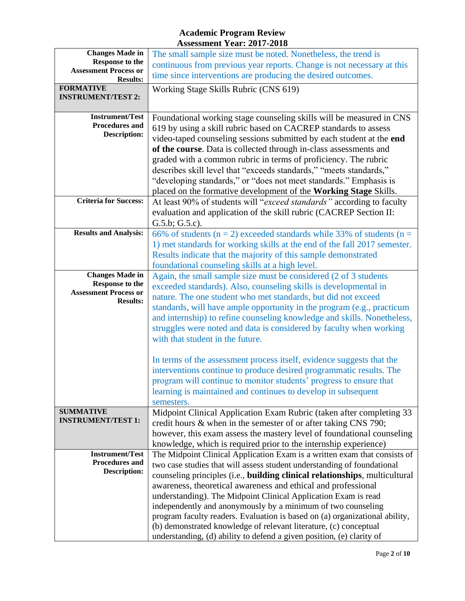| <b>Changes Made in</b>       | The small sample size must be noted. Nonetheless, the trend is               |  |  |
|------------------------------|------------------------------------------------------------------------------|--|--|
| <b>Response to the</b>       | continuous from previous year reports. Change is not necessary at this       |  |  |
| <b>Assessment Process or</b> | time since interventions are producing the desired outcomes.                 |  |  |
| <b>Results:</b>              |                                                                              |  |  |
| <b>FORMATIVE</b>             | Working Stage Skills Rubric (CNS 619)                                        |  |  |
| <b>INSTRUMENT/TEST 2:</b>    |                                                                              |  |  |
|                              |                                                                              |  |  |
| <b>Instrument/Test</b>       | Foundational working stage counseling skills will be measured in CNS         |  |  |
| <b>Procedures and</b>        |                                                                              |  |  |
| <b>Description:</b>          | 619 by using a skill rubric based on CACREP standards to assess              |  |  |
|                              | video-taped counseling sessions submitted by each student at the end         |  |  |
|                              | of the course. Data is collected through in-class assessments and            |  |  |
|                              | graded with a common rubric in terms of proficiency. The rubric              |  |  |
|                              | describes skill level that "exceeds standards," "meets standards,"           |  |  |
|                              |                                                                              |  |  |
|                              | "developing standards," or "does not meet standards." Emphasis is            |  |  |
|                              | placed on the formative development of the Working Stage Skills.             |  |  |
| <b>Criteria for Success:</b> | At least 90% of students will "exceed standards" according to faculty        |  |  |
|                              | evaluation and application of the skill rubric (CACREP Section II:           |  |  |
|                              | G.5.b; G.5.c.                                                                |  |  |
| <b>Results and Analysis:</b> |                                                                              |  |  |
|                              | 66% of students ( $n = 2$ ) exceeded standards while 33% of students ( $n =$ |  |  |
|                              | 1) met standards for working skills at the end of the fall 2017 semester.    |  |  |
|                              | Results indicate that the majority of this sample demonstrated               |  |  |
|                              | foundational counseling skills at a high level.                              |  |  |
| <b>Changes Made in</b>       | Again, the small sample size must be considered (2 of 3 students             |  |  |
| <b>Response to the</b>       | exceeded standards). Also, counseling skills is developmental in             |  |  |
| <b>Assessment Process or</b> |                                                                              |  |  |
| <b>Results:</b>              | nature. The one student who met standards, but did not exceed                |  |  |
|                              | standards, will have ample opportunity in the program (e.g., practicum       |  |  |
|                              | and internship) to refine counseling knowledge and skills. Nonetheless,      |  |  |
|                              | struggles were noted and data is considered by faculty when working          |  |  |
|                              | with that student in the future.                                             |  |  |
|                              |                                                                              |  |  |
|                              |                                                                              |  |  |
|                              | In terms of the assessment process itself, evidence suggests that the        |  |  |
|                              | interventions continue to produce desired programmatic results. The          |  |  |
|                              | program will continue to monitor students' progress to ensure that           |  |  |
|                              | learning is maintained and continues to develop in subsequent                |  |  |
|                              | semesters.                                                                   |  |  |
| <b>SUMMATIVE</b>             |                                                                              |  |  |
| <b>INSTRUMENT/TEST 1:</b>    | Midpoint Clinical Application Exam Rubric (taken after completing 33         |  |  |
|                              | credit hours & when in the semester of or after taking CNS 790;              |  |  |
|                              | however, this exam assess the mastery level of foundational counseling       |  |  |
|                              | knowledge, which is required prior to the internship experience)             |  |  |
| <b>Instrument/Test</b>       | The Midpoint Clinical Application Exam is a written exam that consists of    |  |  |
| Procedures and               | two case studies that will assess student understanding of foundational      |  |  |
| Description:                 | counseling principles (i.e., building clinical relationships, multicultural  |  |  |
|                              | awareness, theoretical awareness and ethical and professional                |  |  |
|                              |                                                                              |  |  |
|                              | understanding). The Midpoint Clinical Application Exam is read               |  |  |
|                              | independently and anonymously by a minimum of two counseling                 |  |  |
|                              | program faculty readers. Evaluation is based on (a) organizational ability,  |  |  |
|                              | (b) demonstrated knowledge of relevant literature, (c) conceptual            |  |  |
|                              | understanding, (d) ability to defend a given position, (e) clarity of        |  |  |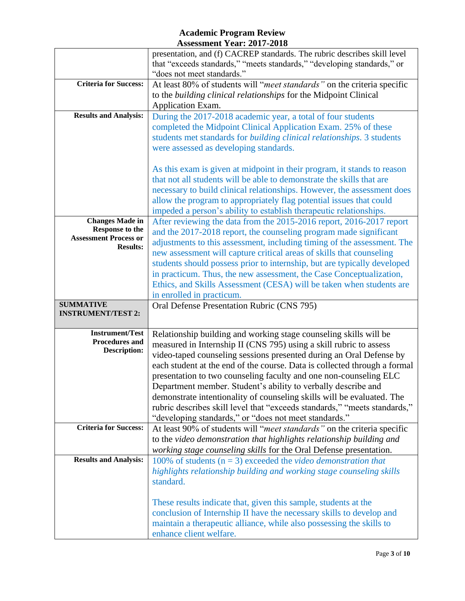|                                                 | presentation, and (f) CACREP standards. The rubric describes skill level                                                                   |  |
|-------------------------------------------------|--------------------------------------------------------------------------------------------------------------------------------------------|--|
|                                                 | that "exceeds standards," "meets standards," "developing standards," or<br>"does not meet standards."                                      |  |
|                                                 |                                                                                                                                            |  |
| <b>Criteria for Success:</b>                    | At least 80% of students will "meet standards" on the criteria specific                                                                    |  |
|                                                 | to the building clinical relationships for the Midpoint Clinical                                                                           |  |
|                                                 | Application Exam.                                                                                                                          |  |
| <b>Results and Analysis:</b>                    | During the 2017-2018 academic year, a total of four students                                                                               |  |
|                                                 | completed the Midpoint Clinical Application Exam. 25% of these                                                                             |  |
|                                                 | students met standards for building clinical relationships. 3 students                                                                     |  |
|                                                 | were assessed as developing standards.                                                                                                     |  |
|                                                 | As this exam is given at midpoint in their program, it stands to reason                                                                    |  |
|                                                 | that not all students will be able to demonstrate the skills that are                                                                      |  |
|                                                 | necessary to build clinical relationships. However, the assessment does                                                                    |  |
|                                                 | allow the program to appropriately flag potential issues that could                                                                        |  |
|                                                 | impeded a person's ability to establish therapeutic relationships.                                                                         |  |
| <b>Changes Made in</b>                          | After reviewing the data from the 2015-2016 report, 2016-2017 report                                                                       |  |
| <b>Response to the</b>                          | and the 2017-2018 report, the counseling program made significant                                                                          |  |
| <b>Assessment Process or</b><br><b>Results:</b> | adjustments to this assessment, including timing of the assessment. The                                                                    |  |
|                                                 | new assessment will capture critical areas of skills that counseling                                                                       |  |
|                                                 | students should possess prior to internship, but are typically developed                                                                   |  |
|                                                 | in practicum. Thus, the new assessment, the Case Conceptualization,                                                                        |  |
|                                                 | Ethics, and Skills Assessment (CESA) will be taken when students are                                                                       |  |
|                                                 | in enrolled in practicum.                                                                                                                  |  |
| <b>SUMMATIVE</b><br><b>INSTRUMENT/TEST 2:</b>   | Oral Defense Presentation Rubric (CNS 795)                                                                                                 |  |
|                                                 |                                                                                                                                            |  |
| <b>Instrument/Test</b>                          | Relationship building and working stage counseling skills will be                                                                          |  |
| <b>Procedures and</b>                           | measured in Internship II (CNS 795) using a skill rubric to assess                                                                         |  |
| <b>Description:</b>                             | video-taped counseling sessions presented during an Oral Defense by                                                                        |  |
|                                                 | each student at the end of the course. Data is collected through a formal                                                                  |  |
|                                                 | presentation to two counseling faculty and one non-counseling ELC                                                                          |  |
|                                                 | Department member. Student's ability to verbally describe and                                                                              |  |
|                                                 | demonstrate intentionality of counseling skills will be evaluated. The                                                                     |  |
|                                                 | rubric describes skill level that "exceeds standards," "meets standards,"                                                                  |  |
|                                                 | "developing standards," or "does not meet standards."                                                                                      |  |
| <b>Criteria for Success:</b>                    | At least 90% of students will "meet standards" on the criteria specific                                                                    |  |
|                                                 | to the video demonstration that highlights relationship building and                                                                       |  |
| <b>Results and Analysis:</b>                    | working stage counseling skills for the Oral Defense presentation.                                                                         |  |
|                                                 | 100% of students ( $n = 3$ ) exceeded the video demonstration that<br>highlights relationship building and working stage counseling skills |  |
|                                                 | standard.                                                                                                                                  |  |
|                                                 |                                                                                                                                            |  |
|                                                 | These results indicate that, given this sample, students at the                                                                            |  |
|                                                 | conclusion of Internship II have the necessary skills to develop and                                                                       |  |
|                                                 | maintain a therapeutic alliance, while also possessing the skills to                                                                       |  |
|                                                 |                                                                                                                                            |  |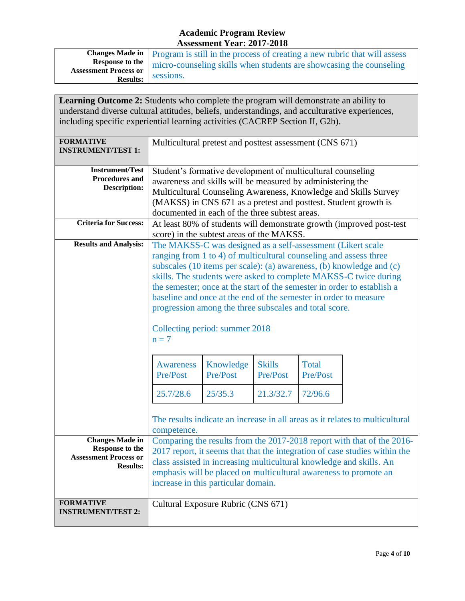|                              | <b>Changes Made in</b>   Program is still in the process of creating a new rubric that will assess |
|------------------------------|----------------------------------------------------------------------------------------------------|
| <b>Response to the</b>       | micro-counseling skills when students are showcasing the counseling                                |
| <b>Assessment Process or</b> | sessions.                                                                                          |
| <b>Results:</b>              |                                                                                                    |

| <b>Learning Outcome 2:</b> Students who complete the program will demonstrate an ability to<br>understand diverse cultural attitudes, beliefs, understandings, and acculturative experiences,<br>including specific experiential learning activities (CACREP Section II, G2b). |                                                                                                                                                                                                                                                                                                                                                                                                                                                                                                                                                                                 |                                                                      |                           |                          |                                                                              |
|--------------------------------------------------------------------------------------------------------------------------------------------------------------------------------------------------------------------------------------------------------------------------------|---------------------------------------------------------------------------------------------------------------------------------------------------------------------------------------------------------------------------------------------------------------------------------------------------------------------------------------------------------------------------------------------------------------------------------------------------------------------------------------------------------------------------------------------------------------------------------|----------------------------------------------------------------------|---------------------------|--------------------------|------------------------------------------------------------------------------|
| <b>FORMATIVE</b><br><b>INSTRUMENT/TEST 1:</b>                                                                                                                                                                                                                                  | Multicultural pretest and posttest assessment (CNS 671)                                                                                                                                                                                                                                                                                                                                                                                                                                                                                                                         |                                                                      |                           |                          |                                                                              |
| <b>Instrument/Test</b><br><b>Procedures and</b><br><b>Description:</b>                                                                                                                                                                                                         | Student's formative development of multicultural counseling<br>awareness and skills will be measured by administering the<br>Multicultural Counseling Awareness, Knowledge and Skills Survey<br>(MAKSS) in CNS 671 as a pretest and posttest. Student growth is<br>documented in each of the three subtest areas.                                                                                                                                                                                                                                                               |                                                                      |                           |                          |                                                                              |
| <b>Criteria for Success:</b>                                                                                                                                                                                                                                                   |                                                                                                                                                                                                                                                                                                                                                                                                                                                                                                                                                                                 | At least 80% of students will demonstrate growth (improved post-test |                           |                          |                                                                              |
| <b>Results and Analysis:</b>                                                                                                                                                                                                                                                   | score) in the subtest areas of the MAKSS.<br>The MAKSS-C was designed as a self-assessment (Likert scale<br>ranging from 1 to 4) of multicultural counseling and assess three<br>subscales (10 items per scale): (a) awareness, (b) knowledge and (c)<br>skills. The students were asked to complete MAKSS-C twice during<br>the semester; once at the start of the semester in order to establish a<br>baseline and once at the end of the semester in order to measure<br>progression among the three subscales and total score.<br>Collecting period: summer 2018<br>$n = 7$ |                                                                      |                           |                          |                                                                              |
|                                                                                                                                                                                                                                                                                | <b>Awareness</b><br>Pre/Post                                                                                                                                                                                                                                                                                                                                                                                                                                                                                                                                                    | Knowledge<br>Pre/Post                                                | <b>Skills</b><br>Pre/Post | <b>Total</b><br>Pre/Post |                                                                              |
|                                                                                                                                                                                                                                                                                | 25.7/28.6                                                                                                                                                                                                                                                                                                                                                                                                                                                                                                                                                                       | 25/35.3                                                              | 21.3/32.7                 | 72/96.6                  |                                                                              |
|                                                                                                                                                                                                                                                                                | competence.                                                                                                                                                                                                                                                                                                                                                                                                                                                                                                                                                                     |                                                                      |                           |                          | The results indicate an increase in all areas as it relates to multicultural |
| <b>Changes Made in</b><br><b>Response to the</b><br><b>Assessment Process or</b><br><b>Results:</b>                                                                                                                                                                            | Comparing the results from the 2017-2018 report with that of the 2016-<br>2017 report, it seems that that the integration of case studies within the<br>class assisted in increasing multicultural knowledge and skills. An<br>emphasis will be placed on multicultural awareness to promote an<br>increase in this particular domain.                                                                                                                                                                                                                                          |                                                                      |                           |                          |                                                                              |
| <b>FORMATIVE</b><br><b>INSTRUMENT/TEST 2:</b>                                                                                                                                                                                                                                  | Cultural Exposure Rubric (CNS 671)                                                                                                                                                                                                                                                                                                                                                                                                                                                                                                                                              |                                                                      |                           |                          |                                                                              |

Ť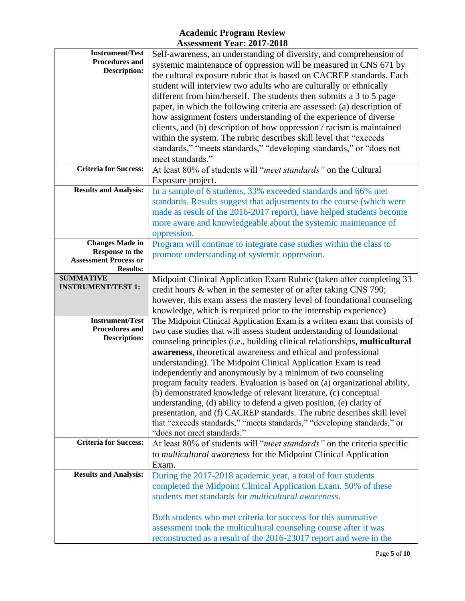| <b>Instrument/Test</b><br><b>Procedures and</b><br><b>Description:</b>                       | Self-awareness, an understanding of diversity, and comprehension of<br>systemic maintenance of oppression will be measured in CNS 671 by<br>the cultural exposure rubric that is based on CACREP standards. Each<br>student will interview two adults who are culturally or ethnically<br>different from him/herself. The students then submits a 3 to 5 page<br>paper, in which the following criteria are assessed: (a) description of<br>how assignment fosters understanding of the experience of diverse<br>clients, and (b) description of how oppression / racism is maintained<br>within the system. The rubric describes skill level that "exceeds<br>standards," "meets standards," "developing standards," or "does not<br>meet standards."                                                                                                   |
|----------------------------------------------------------------------------------------------|----------------------------------------------------------------------------------------------------------------------------------------------------------------------------------------------------------------------------------------------------------------------------------------------------------------------------------------------------------------------------------------------------------------------------------------------------------------------------------------------------------------------------------------------------------------------------------------------------------------------------------------------------------------------------------------------------------------------------------------------------------------------------------------------------------------------------------------------------------|
| <b>Criteria for Success:</b>                                                                 | At least 80% of students will "meet standards" on the Cultural<br>Exposure project.                                                                                                                                                                                                                                                                                                                                                                                                                                                                                                                                                                                                                                                                                                                                                                      |
| <b>Results and Analysis:</b>                                                                 | In a sample of 6 students, 33% exceeded standards and 66% met<br>standards. Results suggest that adjustments to the course (which were<br>made as result of the 2016-2017 report), have helped students become<br>more aware and knowledgeable about the systemic maintenance of<br>oppression.                                                                                                                                                                                                                                                                                                                                                                                                                                                                                                                                                          |
| <b>Changes Made in</b><br>Response to the<br><b>Assessment Process or</b><br><b>Results:</b> | Program will continue to integrate case studies within the class to<br>promote understanding of systemic oppression.                                                                                                                                                                                                                                                                                                                                                                                                                                                                                                                                                                                                                                                                                                                                     |
| <b>SUMMATIVE</b><br><b>INSTRUMENT/TEST 1:</b>                                                | Midpoint Clinical Application Exam Rubric (taken after completing 33<br>credit hours & when in the semester of or after taking CNS 790;<br>however, this exam assess the mastery level of foundational counseling<br>knowledge, which is required prior to the internship experience)                                                                                                                                                                                                                                                                                                                                                                                                                                                                                                                                                                    |
| <b>Instrument/Test</b><br><b>Procedures and</b><br><b>Description:</b>                       | The Midpoint Clinical Application Exam is a written exam that consists of<br>two case studies that will assess student understanding of foundational<br>counseling principles (i.e., building clinical relationships, multicultural<br>awareness, theoretical awareness and ethical and professional<br>understanding). The Midpoint Clinical Application Exam is read<br>independently and anonymously by a minimum of two counseling<br>program faculty readers. Evaluation is based on (a) organizational ability,<br>(b) demonstrated knowledge of relevant literature, (c) conceptual<br>understanding, (d) ability to defend a given position, (e) clarity of<br>presentation, and (f) CACREP standards. The rubric describes skill level<br>that "exceeds standards," "meets standards," "developing standards," or<br>"does not meet standards." |
| <b>Criteria for Success:</b>                                                                 | At least 80% of students will "meet standards" on the criteria specific<br>to multicultural awareness for the Midpoint Clinical Application<br>Exam.                                                                                                                                                                                                                                                                                                                                                                                                                                                                                                                                                                                                                                                                                                     |
| <b>Results and Analysis:</b>                                                                 | During the 2017-2018 academic year, a total of four students<br>completed the Midpoint Clinical Application Exam. 50% of these<br>students met standards for <i>multicultural awareness</i> .<br>Both students who met criteria for success for this summative<br>assessment took the multicultural counseling course after it was<br>reconstructed as a result of the 2016-23017 report and were in the                                                                                                                                                                                                                                                                                                                                                                                                                                                 |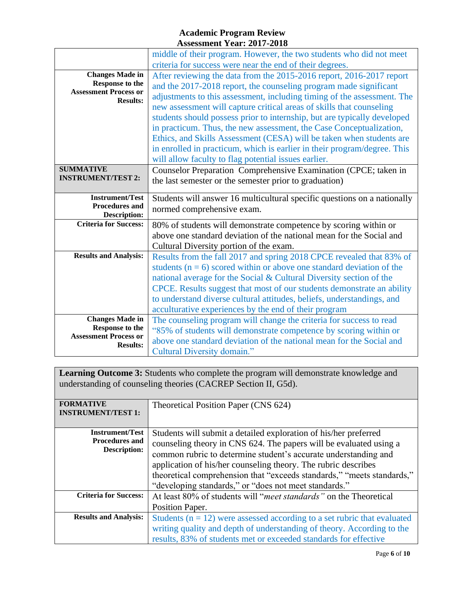|                                                                                                     | middle of their program. However, the two students who did not meet                                                                                                                                                                                                                                                                                                                                                                                                                                                                                                                                                                                         |
|-----------------------------------------------------------------------------------------------------|-------------------------------------------------------------------------------------------------------------------------------------------------------------------------------------------------------------------------------------------------------------------------------------------------------------------------------------------------------------------------------------------------------------------------------------------------------------------------------------------------------------------------------------------------------------------------------------------------------------------------------------------------------------|
|                                                                                                     | criteria for success were near the end of their degrees.                                                                                                                                                                                                                                                                                                                                                                                                                                                                                                                                                                                                    |
| <b>Changes Made in</b><br><b>Response to the</b><br><b>Assessment Process or</b><br><b>Results:</b> | After reviewing the data from the 2015-2016 report, 2016-2017 report<br>and the 2017-2018 report, the counseling program made significant<br>adjustments to this assessment, including timing of the assessment. The<br>new assessment will capture critical areas of skills that counseling<br>students should possess prior to internship, but are typically developed<br>in practicum. Thus, the new assessment, the Case Conceptualization,<br>Ethics, and Skills Assessment (CESA) will be taken when students are<br>in enrolled in practicum, which is earlier in their program/degree. This<br>will allow faculty to flag potential issues earlier. |
| <b>SUMMATIVE</b><br><b>INSTRUMENT/TEST 2:</b>                                                       | Counselor Preparation Comprehensive Examination (CPCE; taken in<br>the last semester or the semester prior to graduation)                                                                                                                                                                                                                                                                                                                                                                                                                                                                                                                                   |
| <b>Instrument/Test</b><br><b>Procedures and</b><br><b>Description:</b>                              | Students will answer 16 multicultural specific questions on a nationally<br>normed comprehensive exam.                                                                                                                                                                                                                                                                                                                                                                                                                                                                                                                                                      |
| <b>Criteria for Success:</b>                                                                        | 80% of students will demonstrate competence by scoring within or<br>above one standard deviation of the national mean for the Social and<br>Cultural Diversity portion of the exam.                                                                                                                                                                                                                                                                                                                                                                                                                                                                         |
| <b>Results and Analysis:</b>                                                                        | Results from the fall 2017 and spring 2018 CPCE revealed that 83% of<br>students ( $n = 6$ ) scored within or above one standard deviation of the<br>national average for the Social & Cultural Diversity section of the<br>CPCE. Results suggest that most of our students demonstrate an ability<br>to understand diverse cultural attitudes, beliefs, understandings, and<br>acculturative experiences by the end of their program                                                                                                                                                                                                                       |
| <b>Changes Made in</b><br><b>Response to the</b><br><b>Assessment Process or</b><br><b>Results:</b> | The counseling program will change the criteria for success to read<br>"85% of students will demonstrate competence by scoring within or<br>above one standard deviation of the national mean for the Social and<br>Cultural Diversity domain."                                                                                                                                                                                                                                                                                                                                                                                                             |

**Learning Outcome 3:** Students who complete the program will demonstrate knowledge and understanding of counseling theories (CACREP Section II, G5d).

| <b>FORMATIVE</b><br><b>INSTRUMENT/TEST 1:</b>                   | Theoretical Position Paper (CNS 624)                                                                                                                                                                                                                                                                                                                                                                           |
|-----------------------------------------------------------------|----------------------------------------------------------------------------------------------------------------------------------------------------------------------------------------------------------------------------------------------------------------------------------------------------------------------------------------------------------------------------------------------------------------|
| <b>Instrument/Test</b><br>Procedures and<br><b>Description:</b> | Students will submit a detailed exploration of his/her preferred<br>counseling theory in CNS 624. The papers will be evaluated using a<br>common rubric to determine student's accurate understanding and<br>application of his/her counseling theory. The rubric describes<br>theoretical comprehension that "exceeds standards," "meets standards,"<br>"developing standards," or "does not meet standards." |
| <b>Criteria for Success:</b>                                    | At least 80% of students will "meet standards" on the Theoretical<br>Position Paper.                                                                                                                                                                                                                                                                                                                           |
| <b>Results and Analysis:</b>                                    | Students ( $n = 12$ ) were assessed according to a set rubric that evaluated<br>writing quality and depth of understanding of theory. According to the<br>results, 83% of students met or exceeded standards for effective                                                                                                                                                                                     |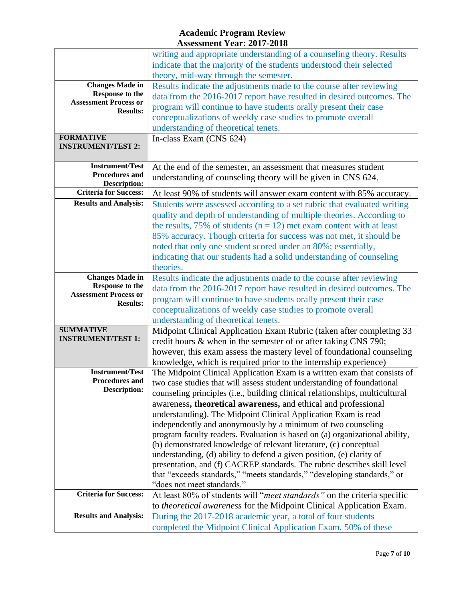|                                               | writing and appropriate understanding of a counseling theory. Results<br>indicate that the majority of the students understood their selected |
|-----------------------------------------------|-----------------------------------------------------------------------------------------------------------------------------------------------|
|                                               | theory, mid-way through the semester.                                                                                                         |
| <b>Changes Made in</b>                        | Results indicate the adjustments made to the course after reviewing                                                                           |
| Response to the                               | data from the 2016-2017 report have resulted in desired outcomes. The                                                                         |
| <b>Assessment Process or</b>                  | program will continue to have students orally present their case                                                                              |
| <b>Results:</b>                               |                                                                                                                                               |
|                                               | conceptualizations of weekly case studies to promote overall                                                                                  |
|                                               | understanding of theoretical tenets.                                                                                                          |
| <b>FORMATIVE</b><br><b>INSTRUMENT/TEST 2:</b> | In-class Exam (CNS 624)                                                                                                                       |
|                                               |                                                                                                                                               |
| <b>Instrument/Test</b>                        |                                                                                                                                               |
| <b>Procedures and</b>                         | At the end of the semester, an assessment that measures student                                                                               |
| <b>Description:</b>                           | understanding of counseling theory will be given in CNS 624.                                                                                  |
| <b>Criteria for Success:</b>                  | At least 90% of students will answer exam content with 85% accuracy.                                                                          |
| <b>Results and Analysis:</b>                  | Students were assessed according to a set rubric that evaluated writing                                                                       |
|                                               | quality and depth of understanding of multiple theories. According to                                                                         |
|                                               | the results, 75% of students ( $n = 12$ ) met exam content with at least                                                                      |
|                                               | 85% accuracy. Though criteria for success was not met, it should be                                                                           |
|                                               | noted that only one student scored under an 80%; essentially,                                                                                 |
|                                               | indicating that our students had a solid understanding of counseling                                                                          |
|                                               | theories.                                                                                                                                     |
| <b>Changes Made in</b>                        | Results indicate the adjustments made to the course after reviewing                                                                           |
| Response to the                               | data from the 2016-2017 report have resulted in desired outcomes. The                                                                         |
| <b>Assessment Process or</b>                  |                                                                                                                                               |
| <b>Results:</b>                               | program will continue to have students orally present their case                                                                              |
|                                               | conceptualizations of weekly case studies to promote overall                                                                                  |
|                                               | understanding of theoretical tenets.                                                                                                          |
| <b>SUMMATIVE</b><br><b>INSTRUMENT/TEST 1:</b> | Midpoint Clinical Application Exam Rubric (taken after completing 33                                                                          |
|                                               | credit hours & when in the semester of or after taking CNS 790;                                                                               |
|                                               | however, this exam assess the mastery level of foundational counseling                                                                        |
|                                               | knowledge, which is required prior to the internship experience)                                                                              |
| <b>Instrument/Test</b>                        | The Midpoint Clinical Application Exam is a written exam that consists of                                                                     |
| <b>Procedures and</b>                         | two case studies that will assess student understanding of foundational                                                                       |
| <b>Description:</b>                           | counseling principles (i.e., building clinical relationships, multicultural                                                                   |
|                                               | awareness, theoretical awareness, and ethical and professional                                                                                |
|                                               | understanding). The Midpoint Clinical Application Exam is read                                                                                |
|                                               | independently and anonymously by a minimum of two counseling                                                                                  |
|                                               | program faculty readers. Evaluation is based on (a) organizational ability,                                                                   |
|                                               | (b) demonstrated knowledge of relevant literature, (c) conceptual                                                                             |
|                                               | understanding, (d) ability to defend a given position, (e) clarity of                                                                         |
|                                               | presentation, and (f) CACREP standards. The rubric describes skill level                                                                      |
|                                               | that "exceeds standards," "meets standards," "developing standards," or                                                                       |
|                                               | "does not meet standards."                                                                                                                    |
| <b>Criteria for Success:</b>                  | At least 80% of students will "meet standards" on the criteria specific                                                                       |
|                                               | to theoretical awareness for the Midpoint Clinical Application Exam.                                                                          |
| <b>Results and Analysis:</b>                  | During the 2017-2018 academic year, a total of four students                                                                                  |
|                                               | completed the Midpoint Clinical Application Exam. 50% of these                                                                                |
|                                               |                                                                                                                                               |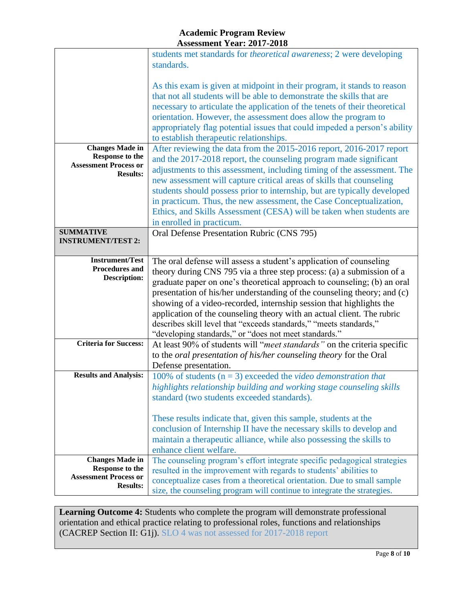|                                                                                                     | students met standards for <i>theoretical awareness</i> ; 2 were developing<br>standards.                                                                                                                                                                                                                                                                                                                                                                                                                                                                                         |
|-----------------------------------------------------------------------------------------------------|-----------------------------------------------------------------------------------------------------------------------------------------------------------------------------------------------------------------------------------------------------------------------------------------------------------------------------------------------------------------------------------------------------------------------------------------------------------------------------------------------------------------------------------------------------------------------------------|
|                                                                                                     | As this exam is given at midpoint in their program, it stands to reason<br>that not all students will be able to demonstrate the skills that are<br>necessary to articulate the application of the tenets of their theoretical<br>orientation. However, the assessment does allow the program to<br>appropriately flag potential issues that could impeded a person's ability<br>to establish therapeutic relationships.                                                                                                                                                          |
| <b>Changes Made in</b><br><b>Response to the</b><br><b>Assessment Process or</b><br><b>Results:</b> | After reviewing the data from the 2015-2016 report, 2016-2017 report<br>and the 2017-2018 report, the counseling program made significant<br>adjustments to this assessment, including timing of the assessment. The<br>new assessment will capture critical areas of skills that counseling<br>students should possess prior to internship, but are typically developed<br>in practicum. Thus, the new assessment, the Case Conceptualization,<br>Ethics, and Skills Assessment (CESA) will be taken when students are<br>in enrolled in practicum.                              |
| <b>SUMMATIVE</b><br><b>INSTRUMENT/TEST 2:</b>                                                       | Oral Defense Presentation Rubric (CNS 795)                                                                                                                                                                                                                                                                                                                                                                                                                                                                                                                                        |
| <b>Instrument/Test</b><br><b>Procedures and</b><br><b>Description:</b>                              | The oral defense will assess a student's application of counseling<br>theory during CNS 795 via a three step process: (a) a submission of a<br>graduate paper on one's theoretical approach to counseling; (b) an oral<br>presentation of his/her understanding of the counseling theory; and (c)<br>showing of a video-recorded, internship session that highlights the<br>application of the counseling theory with an actual client. The rubric<br>describes skill level that "exceeds standards," "meets standards,"<br>"developing standards," or "does not meet standards." |
| <b>Criteria for Success:</b>                                                                        | At least 90% of students will "meet standards" on the criteria specific<br>to the <i>oral presentation of his/her counseling theory</i> for the Oral<br>Defense presentation.                                                                                                                                                                                                                                                                                                                                                                                                     |
| <b>Results and Analysis:</b>                                                                        | 100% of students ( $n = 3$ ) exceeded the video demonstration that<br>highlights relationship building and working stage counseling skills<br>standard (two students exceeded standards).                                                                                                                                                                                                                                                                                                                                                                                         |
|                                                                                                     | These results indicate that, given this sample, students at the<br>conclusion of Internship II have the necessary skills to develop and<br>maintain a therapeutic alliance, while also possessing the skills to<br>enhance client welfare.                                                                                                                                                                                                                                                                                                                                        |
| <b>Changes Made in</b><br><b>Response to the</b><br><b>Assessment Process or</b><br><b>Results:</b> | The counseling program's effort integrate specific pedagogical strategies<br>resulted in the improvement with regards to students' abilities to<br>conceptualize cases from a theoretical orientation. Due to small sample<br>size, the counseling program will continue to integrate the strategies.                                                                                                                                                                                                                                                                             |

**Learning Outcome 4:** Students who complete the program will demonstrate professional orientation and ethical practice relating to professional roles, functions and relationships (CACREP Section II: G1j). SLO 4 was not assessed for 2017-2018 report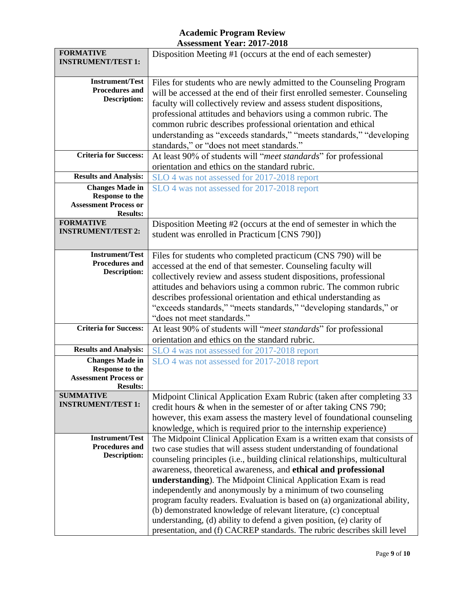| <b>FORMATIVE</b><br><b>INSTRUMENT/TEST 1:</b> | Disposition Meeting #1 (occurs at the end of each semester)                 |  |
|-----------------------------------------------|-----------------------------------------------------------------------------|--|
| <b>Instrument/Test</b>                        | Files for students who are newly admitted to the Counseling Program         |  |
| <b>Procedures and</b>                         |                                                                             |  |
| <b>Description:</b>                           | will be accessed at the end of their first enrolled semester. Counseling    |  |
|                                               | faculty will collectively review and assess student dispositions,           |  |
|                                               | professional attitudes and behaviors using a common rubric. The             |  |
|                                               | common rubric describes professional orientation and ethical                |  |
|                                               | understanding as "exceeds standards," "meets standards," "developing        |  |
|                                               | standards," or "does not meet standards."                                   |  |
| <b>Criteria for Success:</b>                  | At least 90% of students will "meet standards" for professional             |  |
|                                               | orientation and ethics on the standard rubric.                              |  |
| <b>Results and Analysis:</b>                  | SLO 4 was not assessed for 2017-2018 report                                 |  |
| <b>Changes Made in</b>                        | SLO 4 was not assessed for 2017-2018 report                                 |  |
| <b>Response to the</b>                        |                                                                             |  |
| <b>Assessment Process or</b>                  |                                                                             |  |
| <b>Results:</b><br><b>FORMATIVE</b>           |                                                                             |  |
| <b>INSTRUMENT/TEST 2:</b>                     | Disposition Meeting #2 (occurs at the end of semester in which the          |  |
|                                               | student was enrolled in Practicum [CNS 790])                                |  |
| <b>Instrument/Test</b>                        |                                                                             |  |
| <b>Procedures and</b>                         | Files for students who completed practicum (CNS 790) will be                |  |
| <b>Description:</b>                           | accessed at the end of that semester. Counseling faculty will               |  |
|                                               | collectively review and assess student dispositions, professional           |  |
|                                               | attitudes and behaviors using a common rubric. The common rubric            |  |
|                                               | describes professional orientation and ethical understanding as             |  |
|                                               | "exceeds standards," "meets standards," "developing standards," or          |  |
|                                               | "does not meet standards."                                                  |  |
| <b>Criteria for Success:</b>                  | At least 90% of students will "meet standards" for professional             |  |
|                                               | orientation and ethics on the standard rubric.                              |  |
| <b>Results and Analysis:</b>                  | SLO 4 was not assessed for 2017-2018 report                                 |  |
| <b>Changes Made in</b>                        | SLO 4 was not assessed for 2017-2018 report                                 |  |
| <b>Response to the</b>                        |                                                                             |  |
| <b>Assessment Process or</b>                  |                                                                             |  |
| <b>Results:</b><br><b>SUMMATIVE</b>           | Midpoint Clinical Application Exam Rubric (taken after completing 33        |  |
| <b>INSTRUMENT/TEST 1:</b>                     |                                                                             |  |
|                                               | credit hours $\&$ when in the semester of or after taking CNS 790;          |  |
|                                               | however, this exam assess the mastery level of foundational counseling      |  |
| <b>Instrument/Test</b>                        | knowledge, which is required prior to the internship experience)            |  |
| <b>Procedures and</b>                         | The Midpoint Clinical Application Exam is a written exam that consists of   |  |
| <b>Description:</b>                           | two case studies that will assess student understanding of foundational     |  |
|                                               | counseling principles (i.e., building clinical relationships, multicultural |  |
|                                               | awareness, theoretical awareness, and ethical and professional              |  |
|                                               | understanding). The Midpoint Clinical Application Exam is read              |  |
|                                               | independently and anonymously by a minimum of two counseling                |  |
|                                               | program faculty readers. Evaluation is based on (a) organizational ability, |  |
|                                               | (b) demonstrated knowledge of relevant literature, (c) conceptual           |  |
|                                               | understanding, (d) ability to defend a given position, (e) clarity of       |  |
|                                               | presentation, and (f) CACREP standards. The rubric describes skill level    |  |